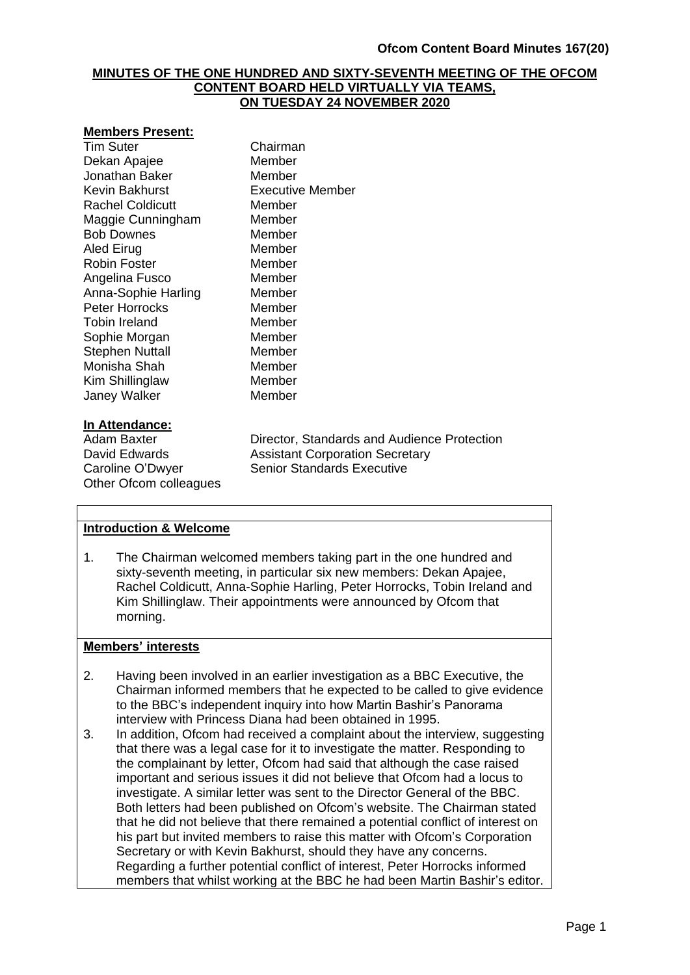### **MINUTES OF THE ONE HUNDRED AND SIXTY-SEVENTH MEETING OF THE OFCOM CONTENT BOARD HELD VIRTUALLY VIA TEAMS, ON TUESDAY 24 NOVEMBER 2020**

#### **Members Present:**

Tim Suter Chairman Dekan Apajee Member Jonathan Baker Member Kevin Bakhurst Executive Member Rachel Coldicutt Member Maggie Cunningham Member Bob Downes Member Aled Eirug **Member** Robin Foster Member Angelina Fusco Member Anna-Sophie Harling Member Peter Horrocks Member Tobin Ireland<br>
Sophie Morgan<br>
Member Sophie Morgan Stephen Nuttall Member Monisha Shah Member Kim Shillinglaw Member Janey Walker Member

### **In Attendance:**

Other Ofcom colleagues

Adam Baxter **Director, Standards and Audience Protection**<br>David Edwards **Assistant Corporation Secretary Assistant Corporation Secretary** Caroline O'Dwyer Senior Standards Executive

### **Introduction & Welcome**

1. The Chairman welcomed members taking part in the one hundred and sixty-seventh meeting, in particular six new members: Dekan Apajee, Rachel Coldicutt, Anna-Sophie Harling, Peter Horrocks, Tobin Ireland and Kim Shillinglaw. Their appointments were announced by Ofcom that morning.

### **Members' interests**

- 2. Having been involved in an earlier investigation as a BBC Executive, the Chairman informed members that he expected to be called to give evidence to the BBC's independent inquiry into how Martin Bashir's Panorama interview with Princess Diana had been obtained in 1995.
- 3. In addition, Ofcom had received a complaint about the interview, suggesting that there was a legal case for it to investigate the matter. Responding to the complainant by letter, Ofcom had said that although the case raised important and serious issues it did not believe that Ofcom had a locus to investigate. A similar letter was sent to the Director General of the BBC. Both letters had been published on Ofcom's website. The Chairman stated that he did not believe that there remained a potential conflict of interest on his part but invited members to raise this matter with Ofcom's Corporation Secretary or with Kevin Bakhurst, should they have any concerns. Regarding a further potential conflict of interest, Peter Horrocks informed members that whilst working at the BBC he had been Martin Bashir's editor.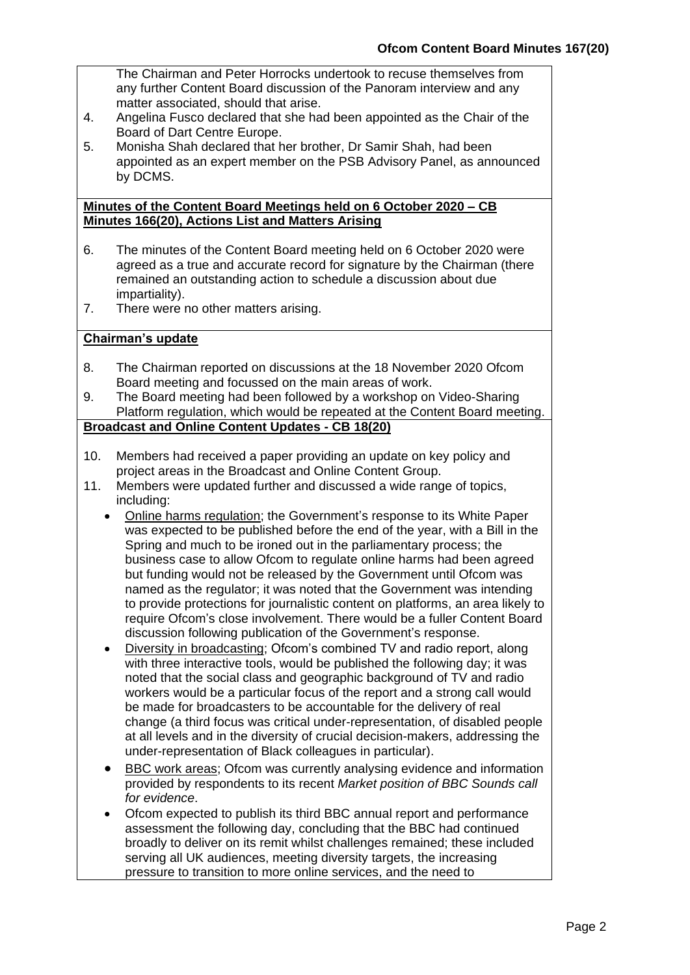The Chairman and Peter Horrocks undertook to recuse themselves from any further Content Board discussion of the Panoram interview and any matter associated, should that arise.

- 4. Angelina Fusco declared that she had been appointed as the Chair of the Board of Dart Centre Europe.
- 5. Monisha Shah declared that her brother, Dr Samir Shah, had been appointed as an expert member on the PSB Advisory Panel, as announced by DCMS.

#### **Minutes of the Content Board Meetings held on 6 October 2020 – CB Minutes 166(20), Actions List and Matters Arising**

- 6. The minutes of the Content Board meeting held on 6 October 2020 were agreed as a true and accurate record for signature by the Chairman (there remained an outstanding action to schedule a discussion about due impartiality).
- 7. There were no other matters arising.

## **Chairman's update**

- 8. The Chairman reported on discussions at the 18 November 2020 Ofcom Board meeting and focussed on the main areas of work.
- 9. The Board meeting had been followed by a workshop on Video-Sharing Platform regulation, which would be repeated at the Content Board meeting.

# **Broadcast and Online Content Updates - CB 18(20)**

- 10. Members had received a paper providing an update on key policy and project areas in the Broadcast and Online Content Group.
- 11. Members were updated further and discussed a wide range of topics, including:
	- Online harms regulation; the Government's response to its White Paper was expected to be published before the end of the year, with a Bill in the Spring and much to be ironed out in the parliamentary process; the business case to allow Ofcom to regulate online harms had been agreed but funding would not be released by the Government until Ofcom was named as the regulator; it was noted that the Government was intending to provide protections for journalistic content on platforms, an area likely to require Ofcom's close involvement. There would be a fuller Content Board discussion following publication of the Government's response.
	- Diversity in broadcasting; Ofcom's combined TV and radio report, along with three interactive tools, would be published the following day; it was noted that the social class and geographic background of TV and radio workers would be a particular focus of the report and a strong call would be made for broadcasters to be accountable for the delivery of real change (a third focus was critical under-representation, of disabled people at all levels and in the diversity of crucial decision-makers, addressing the under-representation of Black colleagues in particular).
	- BBC work areas; Ofcom was currently analysing evidence and information provided by respondents to its recent *Market position of BBC Sounds call for evidence*.
	- Ofcom expected to publish its third BBC annual report and performance assessment the following day, concluding that the BBC had continued broadly to deliver on its remit whilst challenges remained; these included serving all UK audiences, meeting diversity targets, the increasing pressure to transition to more online services, and the need to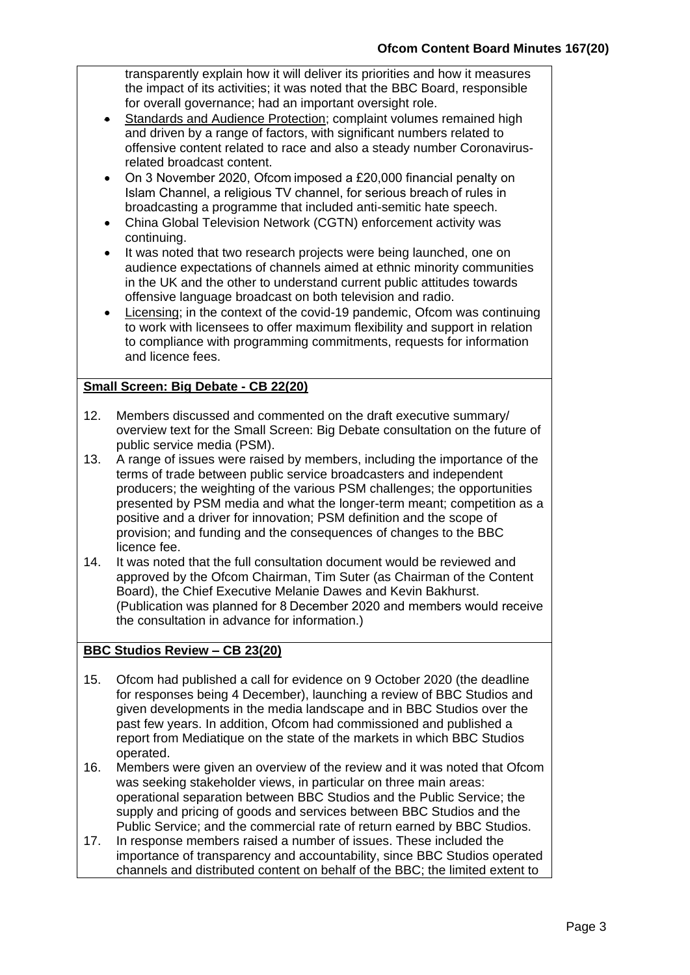transparently explain how it will deliver its priorities and how it measures the impact of its activities; it was noted that the BBC Board, responsible for overall governance; had an important oversight role.

- Standards and Audience Protection; complaint volumes remained high and driven by a range of factors, with significant numbers related to offensive content related to race and also a steady number Coronavirusrelated broadcast content.
- On 3 November 2020, Ofcom imposed a £20,000 financial penalty on Islam Channel, a religious TV channel, for serious breach of rules in broadcasting a programme that included anti-semitic hate speech.
- China Global Television Network (CGTN) enforcement activity was continuing.
- It was noted that two research projects were being launched, one on audience expectations of channels aimed at ethnic minority communities in the UK and the other to understand current public attitudes towards offensive language broadcast on both television and radio.
- Licensing; in the context of the covid-19 pandemic, Ofcom was continuing to work with licensees to offer maximum flexibility and support in relation to compliance with programming commitments, requests for information and licence fees.

# **Small Screen: Big Debate - CB 22(20)**

- 12. Members discussed and commented on the draft executive summary/ overview text for the Small Screen: Big Debate consultation on the future of public service media (PSM).
- 13. A range of issues were raised by members, including the importance of the terms of trade between public service broadcasters and independent producers; the weighting of the various PSM challenges; the opportunities presented by PSM media and what the longer-term meant; competition as a positive and a driver for innovation; PSM definition and the scope of provision; and funding and the consequences of changes to the BBC licence fee.
- 14. It was noted that the full consultation document would be reviewed and approved by the Ofcom Chairman, Tim Suter (as Chairman of the Content Board), the Chief Executive Melanie Dawes and Kevin Bakhurst. (Publication was planned for 8 December 2020 and members would receive the consultation in advance for information.)

# **BBC Studios Review – CB 23(20)**

- 15. Ofcom had published a call for evidence on 9 October 2020 (the deadline for responses being 4 December), launching a review of BBC Studios and given developments in the media landscape and in BBC Studios over the past few years. In addition, Ofcom had commissioned and published a report from Mediatique on the state of the markets in which BBC Studios operated.
- 16. Members were given an overview of the review and it was noted that Ofcom was seeking stakeholder views, in particular on three main areas: operational separation between BBC Studios and the Public Service; the supply and pricing of goods and services between BBC Studios and the Public Service; and the commercial rate of return earned by BBC Studios.
- 17. In response members raised a number of issues. These included the importance of transparency and accountability, since BBC Studios operated channels and distributed content on behalf of the BBC; the limited extent to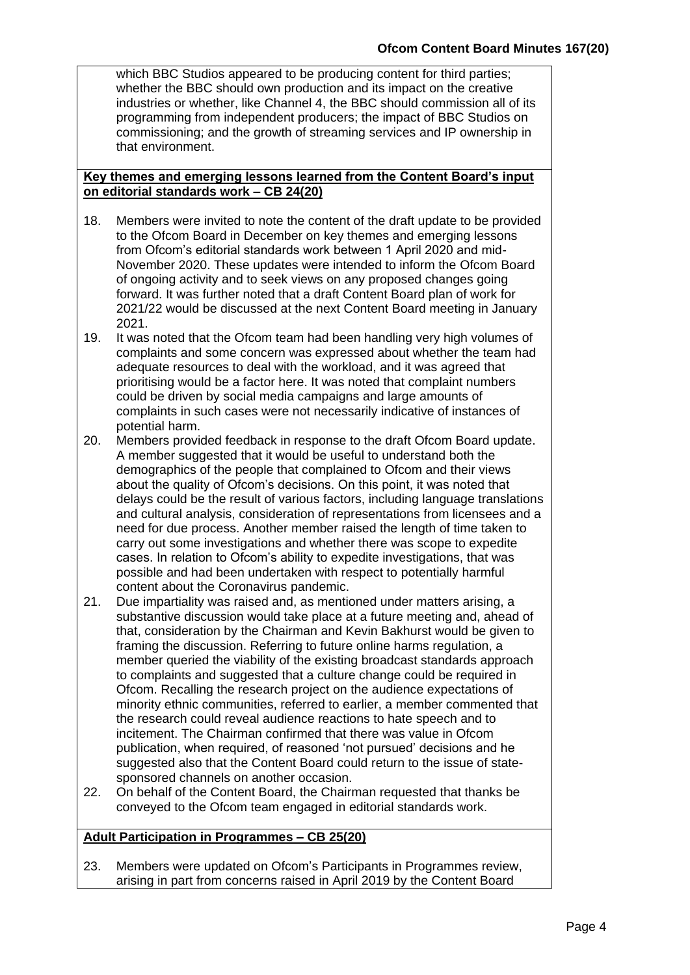which BBC Studios appeared to be producing content for third parties; whether the BBC should own production and its impact on the creative industries or whether, like Channel 4, the BBC should commission all of its programming from independent producers; the impact of BBC Studios on commissioning; and the growth of streaming services and IP ownership in that environment.

#### **Key themes and emerging lessons learned from the Content Board's input on editorial standards work – CB 24(20)**

- 18. Members were invited to note the content of the draft update to be provided to the Ofcom Board in December on key themes and emerging lessons from Ofcom's editorial standards work between 1 April 2020 and mid-November 2020. These updates were intended to inform the Ofcom Board of ongoing activity and to seek views on any proposed changes going forward. It was further noted that a draft Content Board plan of work for 2021/22 would be discussed at the next Content Board meeting in January 2021.
- 19. It was noted that the Ofcom team had been handling very high volumes of complaints and some concern was expressed about whether the team had adequate resources to deal with the workload, and it was agreed that prioritising would be a factor here. It was noted that complaint numbers could be driven by social media campaigns and large amounts of complaints in such cases were not necessarily indicative of instances of potential harm.
- 20. Members provided feedback in response to the draft Ofcom Board update. A member suggested that it would be useful to understand both the demographics of the people that complained to Ofcom and their views about the quality of Ofcom's decisions. On this point, it was noted that delays could be the result of various factors, including language translations and cultural analysis, consideration of representations from licensees and a need for due process. Another member raised the length of time taken to carry out some investigations and whether there was scope to expedite cases. In relation to Ofcom's ability to expedite investigations, that was possible and had been undertaken with respect to potentially harmful content about the Coronavirus pandemic.
- 21. Due impartiality was raised and, as mentioned under matters arising, a substantive discussion would take place at a future meeting and, ahead of that, consideration by the Chairman and Kevin Bakhurst would be given to framing the discussion. Referring to future online harms regulation, a member queried the viability of the existing broadcast standards approach to complaints and suggested that a culture change could be required in Ofcom. Recalling the research project on the audience expectations of minority ethnic communities, referred to earlier, a member commented that the research could reveal audience reactions to hate speech and to incitement. The Chairman confirmed that there was value in Ofcom publication, when required, of reasoned 'not pursued' decisions and he suggested also that the Content Board could return to the issue of statesponsored channels on another occasion.
- 22. On behalf of the Content Board, the Chairman requested that thanks be conveyed to the Ofcom team engaged in editorial standards work.

# **Adult Participation in Programmes – CB 25(20)**

23. Members were updated on Ofcom's Participants in Programmes review, arising in part from concerns raised in April 2019 by the Content Board